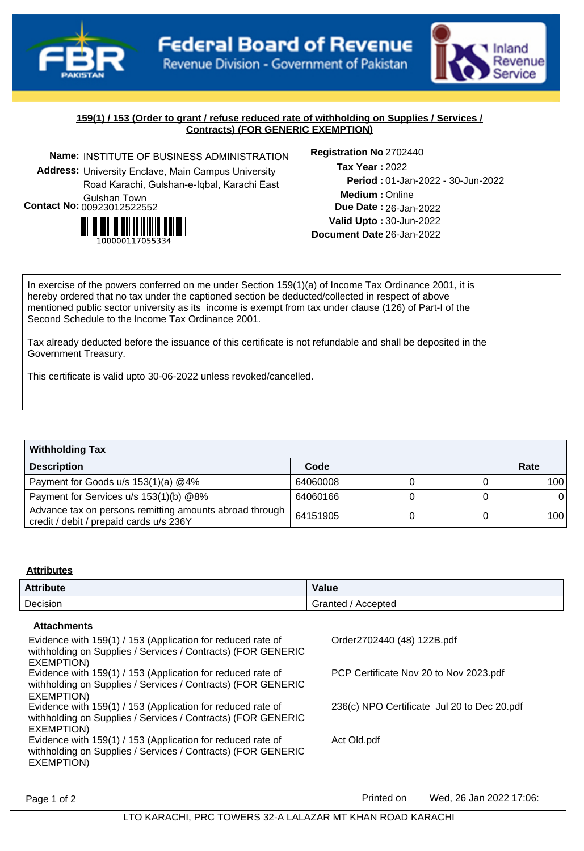

hland evenue Service

## **159(1) / 153 (Order to grant / refuse reduced rate of withholding on Supplies / Services / Contracts) (FOR GENERIC EXEMPTION)**

**Name:** INSTITUTE OF BUSINESS ADMINISTRATION **Registration No Address:** University Enclave, Main Campus University Road Karachi, Gulshan-e-Iqbal, Karachi East Gulshan Town **Contact No:**00923012522552



Registration No 2702440

**Medium :** Online 01-Jan-2022 - 30-Jun-2022 **Period :** 26-Jan-2022 **Due Date : Valid Upto :** 30-Jun-2022 **Document Date** 26-Jan-2022 2022 **Tax Year :**

In exercise of the powers conferred on me under Section 159(1)(a) of Income Tax Ordinance 2001, it is hereby ordered that no tax under the captioned section be deducted/collected in respect of above mentioned public sector university as its income is exempt from tax under clause (126) of Part-I of the Second Schedule to the Income Tax Ordinance 2001.

Tax already deducted before the issuance of this certificate is not refundable and shall be deposited in the Government Treasury.

This certificate is valid upto 30-06-2022 unless revoked/cancelled.

| <b>Withholding Tax</b>                                                                             |          |  |      |
|----------------------------------------------------------------------------------------------------|----------|--|------|
| <b>Description</b>                                                                                 | Code     |  | Rate |
| Payment for Goods u/s 153(1)(a) @4%                                                                | 64060008 |  | 100  |
| Payment for Services u/s 153(1)(b) @8%                                                             | 64060166 |  |      |
| Advance tax on persons remitting amounts abroad through<br>credit / debit / prepaid cards u/s 236Y | 64151905 |  | 100  |

#### **Attributes**

| <b>Attribute</b> | Value               |
|------------------|---------------------|
| Decision         | Accepted<br>Granted |

#### **Attachments**

| Evidence with 159(1) / 153 (Application for reduced rate of<br>withholding on Supplies / Services / Contracts) (FOR GENERIC<br>EXEMPTION) | Order2702440 (48) 122B.pdf                  |
|-------------------------------------------------------------------------------------------------------------------------------------------|---------------------------------------------|
| Evidence with 159(1) / 153 (Application for reduced rate of<br>withholding on Supplies / Services / Contracts) (FOR GENERIC<br>EXEMPTION) | PCP Certificate Nov 20 to Nov 2023.pdf      |
| Evidence with 159(1) / 153 (Application for reduced rate of<br>withholding on Supplies / Services / Contracts) (FOR GENERIC<br>EXEMPTION) | 236(c) NPO Certificate Jul 20 to Dec 20.pdf |
| Evidence with 159(1) / 153 (Application for reduced rate of<br>withholding on Supplies / Services / Contracts) (FOR GENERIC<br>EXEMPTION) | Act Old.pdf                                 |

Page 1 of 2 **Printed on** Wed, 26 Jan 2022 17:06: